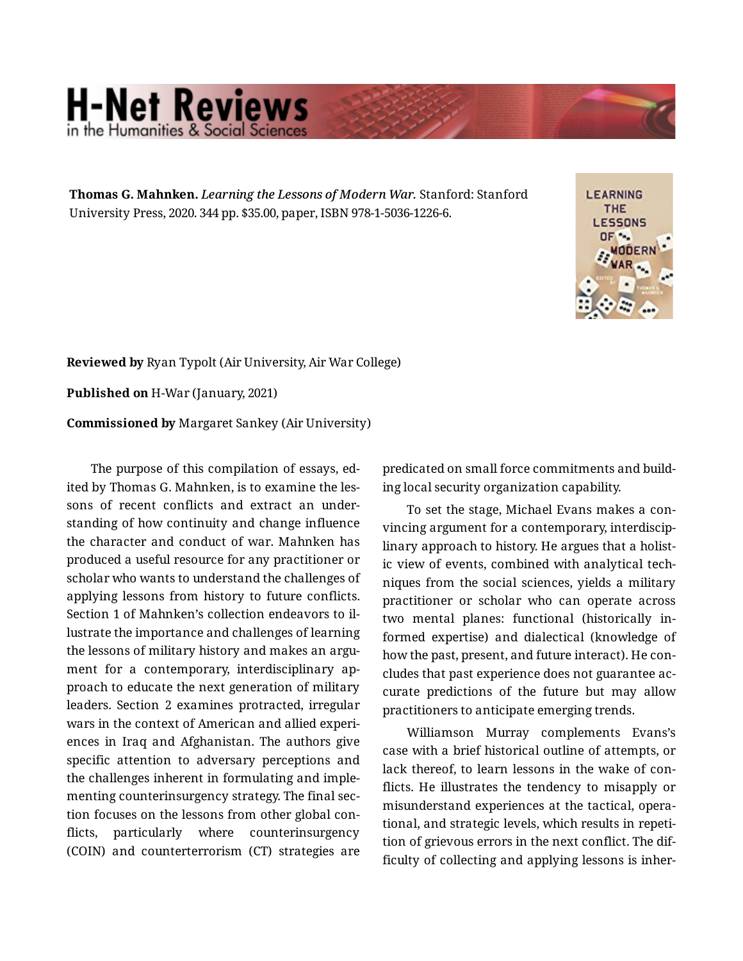## **H-Net Reviews** in the Humanities & Social Scie

**Thomas G. Mahnken.** *Learning the Lessons of Modern War.* Stanford: Stanford University Press, 2020. 344 pp. \$35.00, paper, ISBN 978-1-5036-1226-6.



**Reviewed by** Ryan Typolt (Air University, Air War College)

**Published on** H-War (January, 2021)

**Commissioned by** Margaret Sankey (Air University)

The purpose of this compilation of essays, ed‐ ited by Thomas G. Mahnken, is to examine the les‐ sons of recent conflicts and extract an under‐ standing of how continuity and change influence the character and conduct of war. Mahnken has produced a useful resource for any practitioner or scholar who wants to understand the challenges of applying lessons from history to future conflicts. Section 1 of Mahnken's collection endeavors to il‐ lustrate the importance and challenges of learning the lessons of military history and makes an argument for a contemporary, interdisciplinary approach to educate the next generation of military leaders. Section 2 examines protracted, irregular wars in the context of American and allied experi‐ ences in Iraq and Afghanistan. The authors give specific attention to adversary perceptions and the challenges inherent in formulating and imple‐ menting counterinsurgency strategy. The final sec‐ tion focuses on the lessons from other global con‐ flicts, particularly where counterinsurgency (COIN) and counterterrorism (CT) strategies are

predicated on small force commitments and build‐ ing local security organization capability.

To set the stage, Michael Evans makes a con‐ vincing argument for a contemporary, interdiscip‐ linary approach to history. He argues that a holist‐ ic view of events, combined with analytical tech‐ niques from the social sciences, yields a military practitioner or scholar who can operate across two mental planes: functional (historically in‐ formed expertise) and dialectical (knowledge of how the past, present, and future interact). He con‐ cludes that past experience does not guarantee ac‐ curate predictions of the future but may allow practitioners to anticipate emerging trends.

Williamson Murray complements Evans's case with a brief historical outline of attempts, or lack thereof, to learn lessons in the wake of con‐ flicts. He illustrates the tendency to misapply or misunderstand experiences at the tactical, opera‐ tional, and strategic levels, which results in repeti‐ tion of grievous errors in the next conflict. The dif‐ ficulty of collecting and applying lessons is inher‐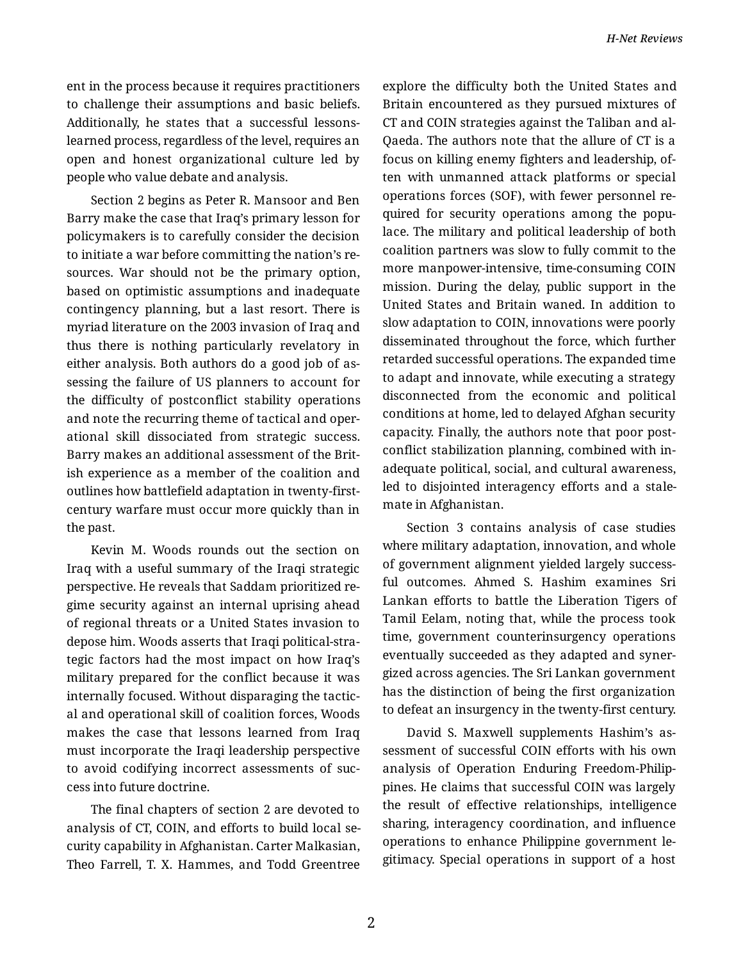ent in the process because it requires practitioners to challenge their assumptions and basic beliefs. Additionally, he states that a successful lessonslearned process, regardless of the level, requires an open and honest organizational culture led by people who value debate and analysis.

Section 2 begins as Peter R. Mansoor and Ben Barry make the case that Iraq's primary lesson for policymakers is to carefully consider the decision to initiate a war before committing the nation's re‐ sources. War should not be the primary option, based on optimistic assumptions and inadequate contingency planning, but a last resort. There is myriad literature on the 2003 invasion of Iraq and thus there is nothing particularly revelatory in either analysis. Both authors do a good job of as‐ sessing the failure of US planners to account for the difficulty of postconflict stability operations and note the recurring theme of tactical and oper‐ ational skill dissociated from strategic success. Barry makes an additional assessment of the Brit‐ ish experience as a member of the coalition and outlines how battlefield adaptation in twenty-firstcentury warfare must occur more quickly than in the past.

Kevin M. Woods rounds out the section on Iraq with a useful summary of the Iraqi strategic perspective. He reveals that Saddam prioritized re‐ gime security against an internal uprising ahead of regional threats or a United States invasion to depose him. Woods asserts that Iraqi political-stra‐ tegic factors had the most impact on how Iraq's military prepared for the conflict because it was internally focused. Without disparaging the tactic‐ al and operational skill of coalition forces, Woods makes the case that lessons learned from Iraq must incorporate the Iraqi leadership perspective to avoid codifying incorrect assessments of suc‐ cess into future doctrine.

The final chapters of section 2 are devoted to analysis of CT, COIN, and efforts to build local se‐ curity capability in Afghanistan. Carter Malkasian, Theo Farrell, T. X. Hammes, and Todd Greentree

explore the difficulty both the United States and Britain encountered as they pursued mixtures of CT and COIN strategies against the Taliban and al-Qaeda. The authors note that the allure of CT is a focus on killing enemy fighters and leadership, of‐ ten with unmanned attack platforms or special operations forces (SOF), with fewer personnel re‐ quired for security operations among the populace. The military and political leadership of both coalition partners was slow to fully commit to the more manpower-intensive, time-consuming COIN mission. During the delay, public support in the United States and Britain waned. In addition to slow adaptation to COIN, innovations were poorly disseminated throughout the force, which further retarded successful operations. The expanded time to adapt and innovate, while executing a strategy disconnected from the economic and political conditions at home, led to delayed Afghan security capacity. Finally, the authors note that poor post‐ conflict stabilization planning, combined with in‐ adequate political, social, and cultural awareness, led to disjointed interagency efforts and a stale‐ mate in Afghanistan.

Section 3 contains analysis of case studies where military adaptation, innovation, and whole of government alignment yielded largely success‐ ful outcomes. Ahmed S. Hashim examines Sri Lankan efforts to battle the Liberation Tigers of Tamil Eelam, noting that, while the process took time, government counterinsurgency operations eventually succeeded as they adapted and syner‐ gized across agencies. The Sri Lankan government has the distinction of being the first organization to defeat an insurgency in the twenty-first century.

David S. Maxwell supplements Hashim's as‐ sessment of successful COIN efforts with his own analysis of Operation Enduring Freedom-Philip‐ pines. He claims that successful COIN was largely the result of effective relationships, intelligence sharing, interagency coordination, and influence operations to enhance Philippine government le‐ gitimacy. Special operations in support of a host

2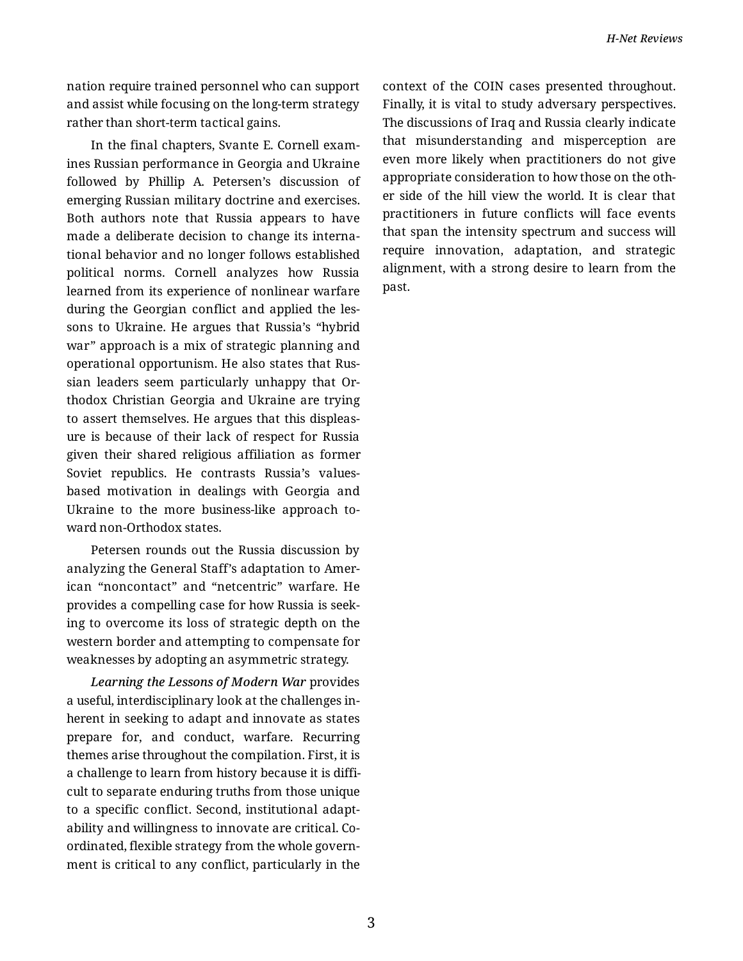nation require trained personnel who can support and assist while focusing on the long-term strategy rather than short-term tactical gains.

In the final chapters, Svante E. Cornell exam‐ ines Russian performance in Georgia and Ukraine followed by Phillip A. Petersen's discussion of emerging Russian military doctrine and exercises. Both authors note that Russia appears to have made a deliberate decision to change its interna‐ tional behavior and no longer follows established political norms. Cornell analyzes how Russia learned from its experience of nonlinear warfare during the Georgian conflict and applied the les‐ sons to Ukraine. He argues that Russia's "hybrid war" approach is a mix of strategic planning and operational opportunism. He also states that Rus‐ sian leaders seem particularly unhappy that Or‐ thodox Christian Georgia and Ukraine are trying to assert themselves. He argues that this displeas‐ ure is because of their lack of respect for Russia given their shared religious affiliation as former Soviet republics. He contrasts Russia's valuesbased motivation in dealings with Georgia and Ukraine to the more business-like approach to‐ ward non-Orthodox states.

Petersen rounds out the Russia discussion by analyzing the General Staff's adaptation to Amer‐ ican "noncontact" and "netcentric" warfare. He provides a compelling case for how Russia is seek‐ ing to overcome its loss of strategic depth on the western border and attempting to compensate for weaknesses by adopting an asymmetric strategy.

*Learning the Lessons of Modern War* provides a useful, interdisciplinary look at the challenges in‐ herent in seeking to adapt and innovate as states prepare for, and conduct, warfare. Recurring themes arise throughout the compilation. First, it is a challenge to learn from history because it is diffi‐ cult to separate enduring truths from those unique to a specific conflict. Second, institutional adapt‐ ability and willingness to innovate are critical. Co‐ ordinated, flexible strategy from the whole govern‐ ment is critical to any conflict, particularly in the context of the COIN cases presented throughout. Finally, it is vital to study adversary perspectives. The discussions of Iraq and Russia clearly indicate that misunderstanding and misperception are even more likely when practitioners do not give appropriate consideration to how those on the oth‐ er side of the hill view the world. It is clear that practitioners in future conflicts will face events that span the intensity spectrum and success will require innovation, adaptation, and strategic alignment, with a strong desire to learn from the past.